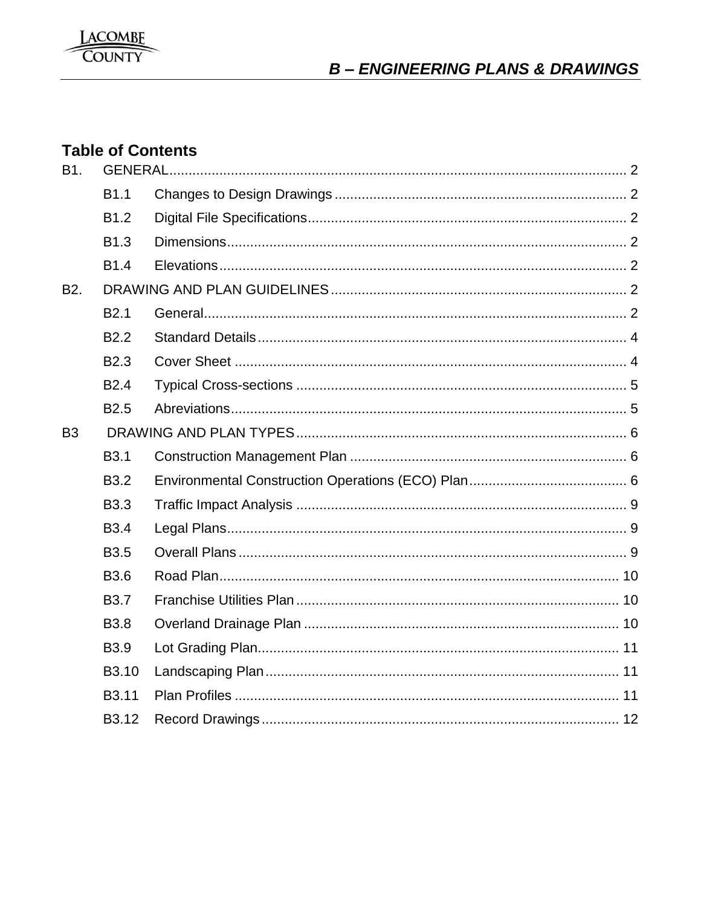

# **Table of Contents**

| <b>B1.</b>       |                   |  |  |
|------------------|-------------------|--|--|
|                  | <b>B1.1</b>       |  |  |
|                  | B <sub>1.2</sub>  |  |  |
|                  | B <sub>1.3</sub>  |  |  |
|                  | <b>B1.4</b>       |  |  |
| B <sub>2</sub> . |                   |  |  |
|                  | B <sub>2.1</sub>  |  |  |
|                  | B <sub>2.2</sub>  |  |  |
|                  | B <sub>2.3</sub>  |  |  |
|                  | B <sub>2.4</sub>  |  |  |
|                  | B <sub>2.5</sub>  |  |  |
| B <sub>3</sub>   |                   |  |  |
|                  | <b>B3.1</b>       |  |  |
|                  | <b>B3.2</b>       |  |  |
|                  | <b>B3.3</b>       |  |  |
|                  | <b>B</b> 3.4      |  |  |
|                  | <b>B3.5</b>       |  |  |
|                  | <b>B3.6</b>       |  |  |
|                  | <b>B3.7</b>       |  |  |
|                  | <b>B3.8</b>       |  |  |
|                  | B <sub>3.9</sub>  |  |  |
|                  | B <sub>3.10</sub> |  |  |
|                  | B3.11             |  |  |
|                  | B <sub>3.12</sub> |  |  |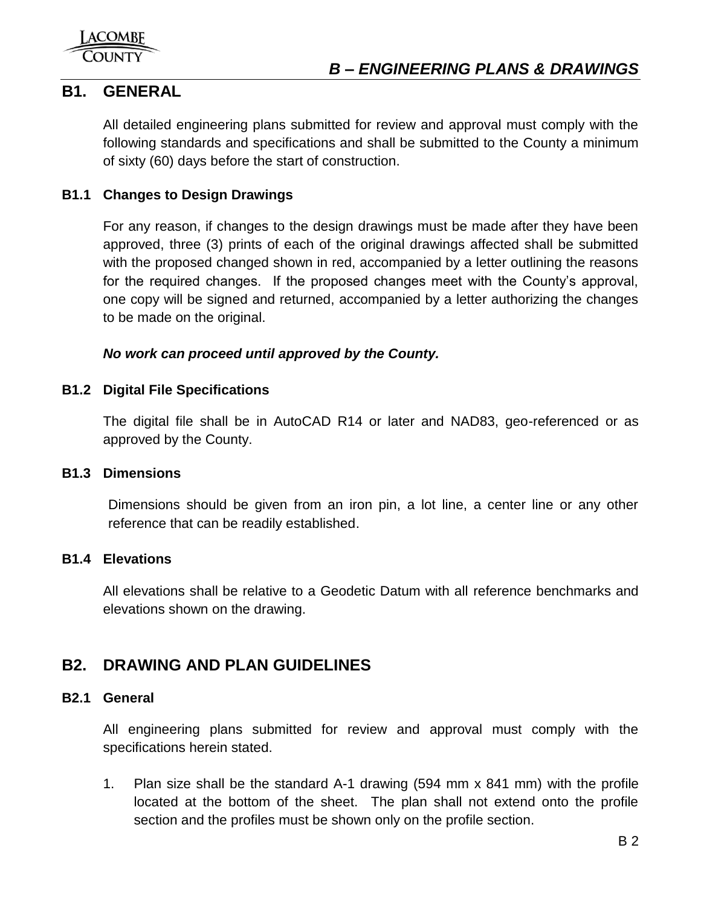

## <span id="page-1-0"></span>**B1. GENERAL**

All detailed engineering plans submitted for review and approval must comply with the following standards and specifications and shall be submitted to the County a minimum of sixty (60) days before the start of construction.

## <span id="page-1-1"></span>**B1.1 Changes to Design Drawings**

For any reason, if changes to the design drawings must be made after they have been approved, three (3) prints of each of the original drawings affected shall be submitted with the proposed changed shown in red, accompanied by a letter outlining the reasons for the required changes. If the proposed changes meet with the County's approval, one copy will be signed and returned, accompanied by a letter authorizing the changes to be made on the original.

## *No work can proceed until approved by the County.*

## <span id="page-1-2"></span>**B1.2 Digital File Specifications**

The digital file shall be in AutoCAD R14 or later and NAD83, geo-referenced or as approved by the County.

## <span id="page-1-3"></span>**B1.3 Dimensions**

Dimensions should be given from an iron pin, a lot line, a center line or any other reference that can be readily established.

## <span id="page-1-4"></span>**B1.4 Elevations**

All elevations shall be relative to a Geodetic Datum with all reference benchmarks and elevations shown on the drawing.

## <span id="page-1-5"></span>**B2. DRAWING AND PLAN GUIDELINES**

## <span id="page-1-6"></span>**B2.1 General**

All engineering plans submitted for review and approval must comply with the specifications herein stated.

1. Plan size shall be the standard A-1 drawing (594 mm x 841 mm) with the profile located at the bottom of the sheet. The plan shall not extend onto the profile section and the profiles must be shown only on the profile section.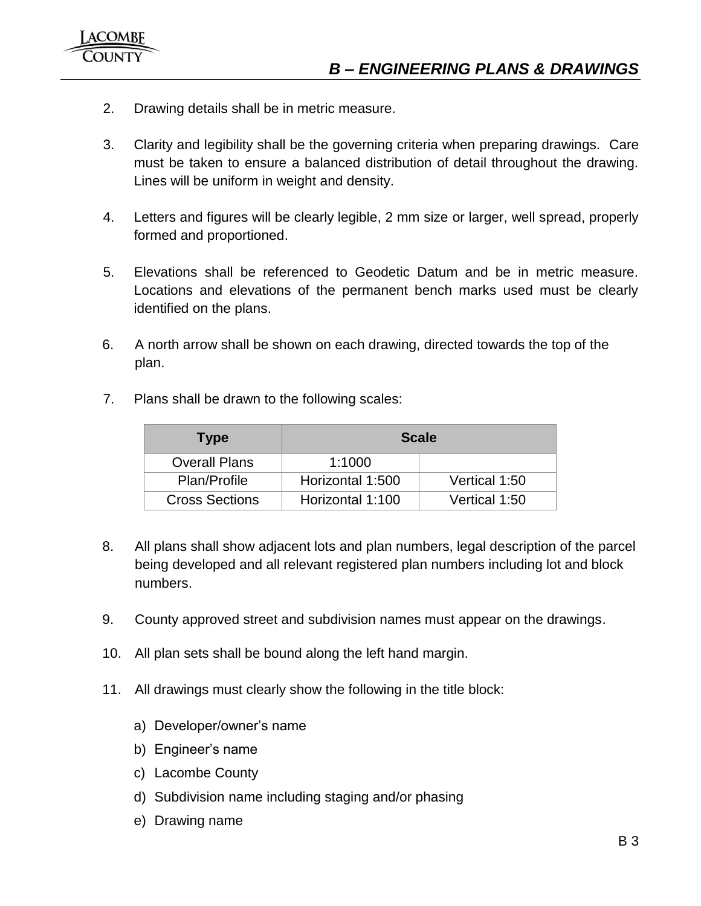- 2. Drawing details shall be in metric measure.
- 3. Clarity and legibility shall be the governing criteria when preparing drawings. Care must be taken to ensure a balanced distribution of detail throughout the drawing. Lines will be uniform in weight and density.
- 4. Letters and figures will be clearly legible, 2 mm size or larger, well spread, properly formed and proportioned.
- 5. Elevations shall be referenced to Geodetic Datum and be in metric measure. Locations and elevations of the permanent bench marks used must be clearly identified on the plans.
- 6. A north arrow shall be shown on each drawing, directed towards the top of the plan.
- 7. Plans shall be drawn to the following scales:

| Type                  | <b>Scale</b>     |               |  |
|-----------------------|------------------|---------------|--|
| <b>Overall Plans</b>  | 1:1000           |               |  |
| Plan/Profile          | Horizontal 1:500 | Vertical 1:50 |  |
| <b>Cross Sections</b> | Horizontal 1:100 | Vertical 1:50 |  |

- 8. All plans shall show adjacent lots and plan numbers, legal description of the parcel being developed and all relevant registered plan numbers including lot and block numbers.
- 9. County approved street and subdivision names must appear on the drawings.
- 10. All plan sets shall be bound along the left hand margin.
- 11. All drawings must clearly show the following in the title block:
	- a) Developer/owner's name
	- b) Engineer's name
	- c) Lacombe County
	- d) Subdivision name including staging and/or phasing
	- e) Drawing name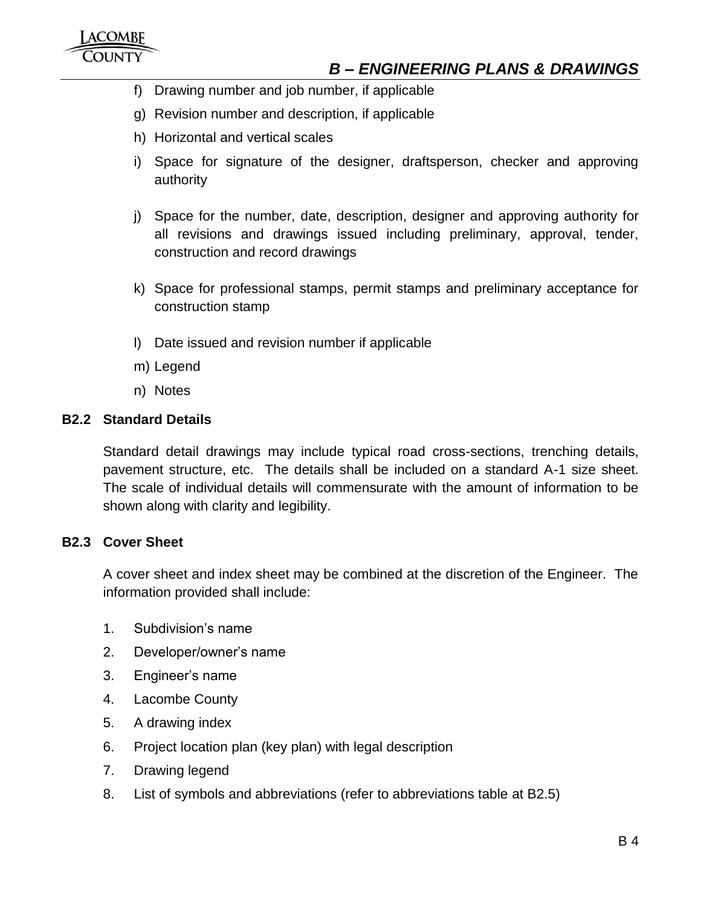- f) Drawing number and job number, if applicable
- g) Revision number and description, if applicable
- h) Horizontal and vertical scales
- i) Space for signature of the designer, draftsperson, checker and approving authority
- j) Space for the number, date, description, designer and approving authority for all revisions and drawings issued including preliminary, approval, tender, construction and record drawings
- k) Space for professional stamps, permit stamps and preliminary acceptance for construction stamp
- l) Date issued and revision number if applicable
- m) Legend
- n) Notes

#### <span id="page-3-0"></span>**B2.2 Standard Details**

Standard detail drawings may include typical road cross-sections, trenching details, pavement structure, etc. The details shall be included on a standard A-1 size sheet. The scale of individual details will commensurate with the amount of information to be shown along with clarity and legibility.

#### <span id="page-3-1"></span>**B2.3 Cover Sheet**

A cover sheet and index sheet may be combined at the discretion of the Engineer. The information provided shall include:

- 1. Subdivision's name
- 2. Developer/owner's name
- 3. Engineer's name
- 4. Lacombe County
- 5. A drawing index
- 6. Project location plan (key plan) with legal description
- 7. Drawing legend
- 8. List of symbols and abbreviations (refer to abbreviations table at B2.5)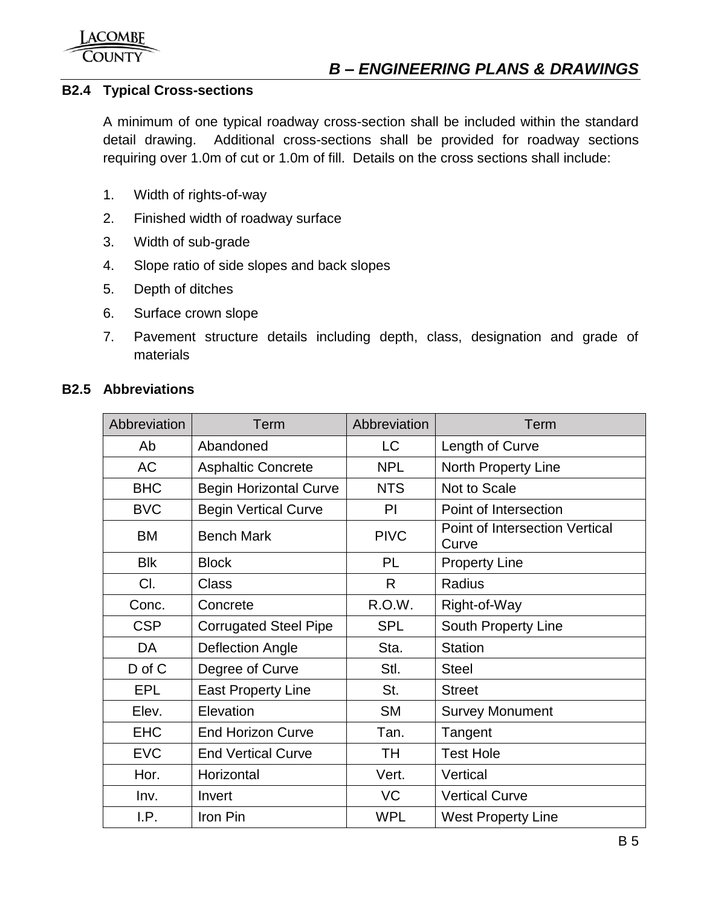## <span id="page-4-0"></span>**B2.4 Typical Cross-sections**

A minimum of one typical roadway cross-section shall be included within the standard detail drawing. Additional cross-sections shall be provided for roadway sections requiring over 1.0m of cut or 1.0m of fill. Details on the cross sections shall include:

- 1. Width of rights-of-way
- 2. Finished width of roadway surface
- 3. Width of sub-grade
- 4. Slope ratio of side slopes and back slopes
- 5. Depth of ditches
- 6. Surface crown slope
- 7. Pavement structure details including depth, class, designation and grade of materials

## <span id="page-4-1"></span>**B2.5 Abbreviations**

| Abbreviation | Term                          | Abbreviation | Term                                           |
|--------------|-------------------------------|--------------|------------------------------------------------|
| Ab           | Abandoned                     | LC           | Length of Curve                                |
| <b>AC</b>    | <b>Asphaltic Concrete</b>     | <b>NPL</b>   | North Property Line                            |
| <b>BHC</b>   | <b>Begin Horizontal Curve</b> | <b>NTS</b>   | Not to Scale                                   |
| <b>BVC</b>   | <b>Begin Vertical Curve</b>   | PI           | Point of Intersection                          |
| <b>BM</b>    | <b>Bench Mark</b>             | <b>PIVC</b>  | <b>Point of Intersection Vertical</b><br>Curve |
| <b>Blk</b>   | <b>Block</b>                  | PL           | <b>Property Line</b>                           |
| CI.          | <b>Class</b>                  | R.           | Radius                                         |
| Conc.        | Concrete                      | R.O.W.       | Right-of-Way                                   |
| <b>CSP</b>   | <b>Corrugated Steel Pipe</b>  | <b>SPL</b>   | South Property Line                            |
| DA           | <b>Deflection Angle</b>       | Sta.         | <b>Station</b>                                 |
| D of C       | Degree of Curve               | Stl.         | <b>Steel</b>                                   |
| <b>EPL</b>   | <b>East Property Line</b>     | St.          | <b>Street</b>                                  |
| Elev.        | Elevation                     | <b>SM</b>    | <b>Survey Monument</b>                         |
| <b>EHC</b>   | <b>End Horizon Curve</b>      | Tan.         | Tangent                                        |
| <b>EVC</b>   | <b>End Vertical Curve</b>     | TH           | <b>Test Hole</b>                               |
| Hor.         | Horizontal                    | Vert.        | Vertical                                       |
| Inv.         | Invert                        | <b>VC</b>    | <b>Vertical Curve</b>                          |
| I.P.         | Iron Pin                      | <b>WPL</b>   | <b>West Property Line</b>                      |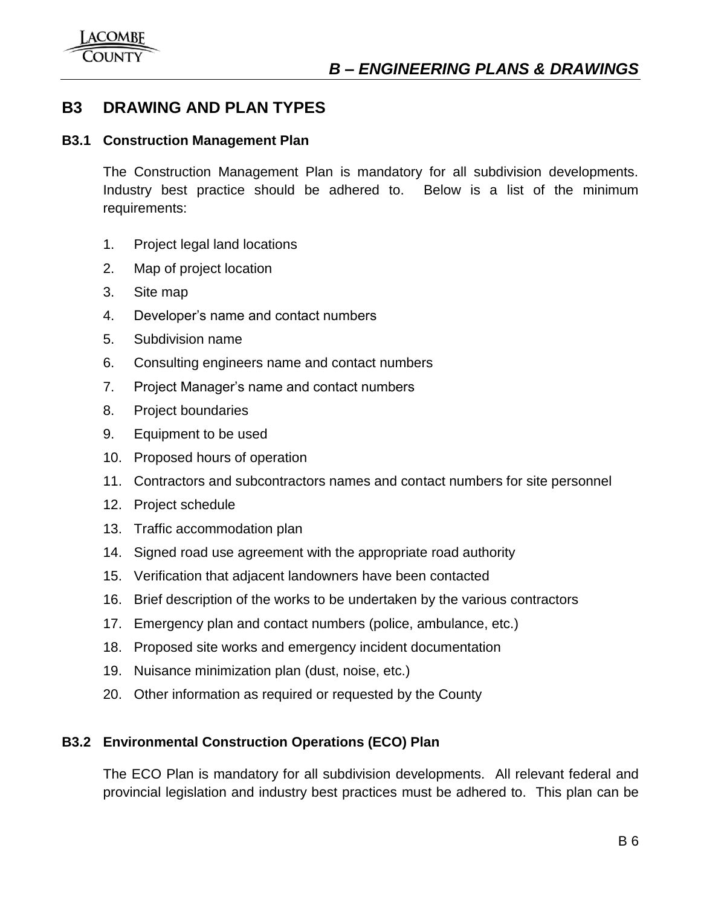## <span id="page-5-0"></span>**B3 DRAWING AND PLAN TYPES**

## <span id="page-5-1"></span>**B3.1 Construction Management Plan**

The Construction Management Plan is mandatory for all subdivision developments. Industry best practice should be adhered to. Below is a list of the minimum requirements:

- 1. Project legal land locations
- 2. Map of project location
- 3. Site map
- 4. Developer's name and contact numbers
- 5. Subdivision name
- 6. Consulting engineers name and contact numbers
- 7. Project Manager's name and contact numbers
- 8. Project boundaries
- 9. Equipment to be used
- 10. Proposed hours of operation
- 11. Contractors and subcontractors names and contact numbers for site personnel
- 12. Project schedule
- 13. Traffic accommodation plan
- 14. Signed road use agreement with the appropriate road authority
- 15. Verification that adjacent landowners have been contacted
- 16. Brief description of the works to be undertaken by the various contractors
- 17. Emergency plan and contact numbers (police, ambulance, etc.)
- 18. Proposed site works and emergency incident documentation
- 19. Nuisance minimization plan (dust, noise, etc.)
- 20. Other information as required or requested by the County

## <span id="page-5-2"></span>**B3.2 Environmental Construction Operations (ECO) Plan**

The ECO Plan is mandatory for all subdivision developments. All relevant federal and provincial legislation and industry best practices must be adhered to. This plan can be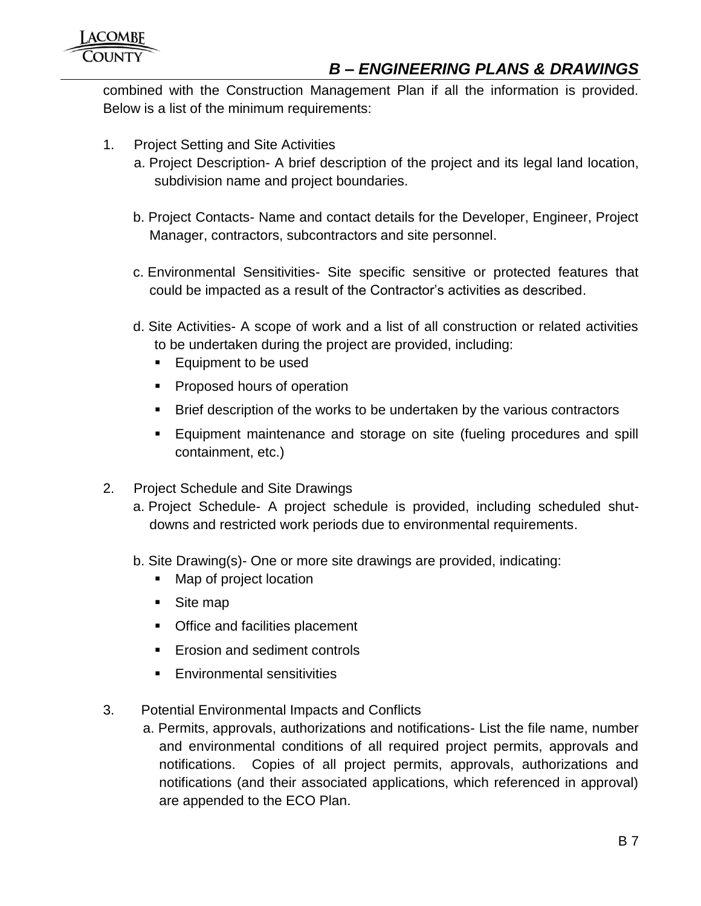combined with the Construction Management Plan if all the information is provided. Below is a list of the minimum requirements:

- 1. Project Setting and Site Activities
	- a. Project Description- A brief description of the project and its legal land location, subdivision name and project boundaries.
	- b. Project Contacts- Name and contact details for the Developer, Engineer, Project Manager, contractors, subcontractors and site personnel.
	- c. Environmental Sensitivities- Site specific sensitive or protected features that could be impacted as a result of the Contractor's activities as described.
	- d. Site Activities- A scope of work and a list of all construction or related activities to be undertaken during the project are provided, including:
		- **Equipment to be used**
		- **Proposed hours of operation**
		- Brief description of the works to be undertaken by the various contractors
		- **Equipment maintenance and storage on site (fueling procedures and spill** containment, etc.)
- 2. Project Schedule and Site Drawings
	- a. Project Schedule- A project schedule is provided, including scheduled shutdowns and restricted work periods due to environmental requirements.
	- b. Site Drawing(s)- One or more site drawings are provided, indicating:
		- Map of project location
		- Site map
		- **Office and facilities placement**
		- **Example 1** Erosion and sediment controls
		- **Environmental sensitivities**
- 3. Potential Environmental Impacts and Conflicts
	- a. Permits, approvals, authorizations and notifications- List the file name, number and environmental conditions of all required project permits, approvals and notifications. Copies of all project permits, approvals, authorizations and notifications (and their associated applications, which referenced in approval) are appended to the ECO Plan.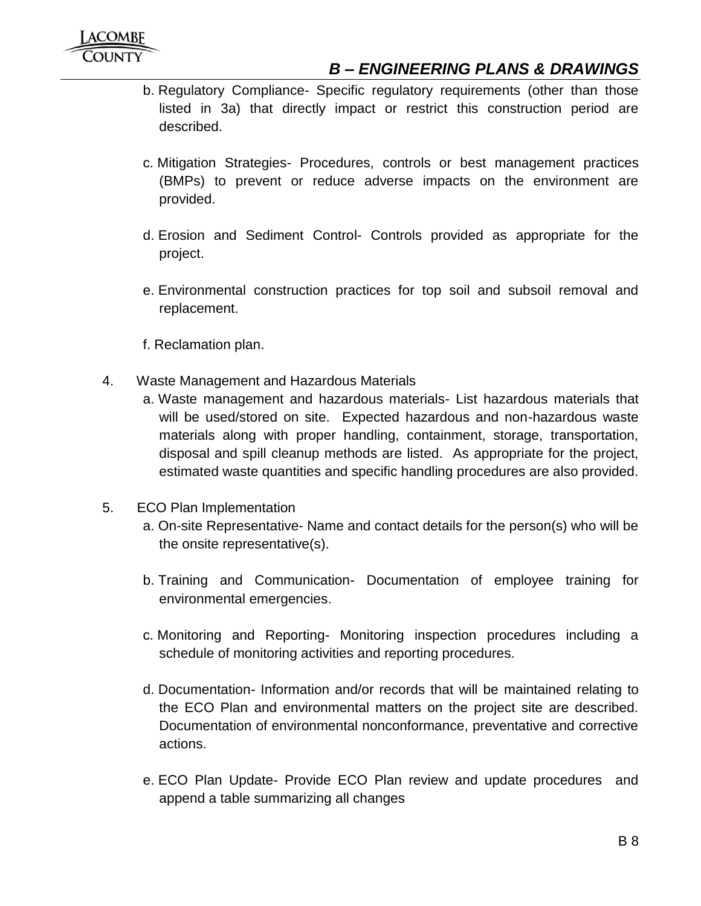- b. Regulatory Compliance- Specific regulatory requirements (other than those listed in 3a) that directly impact or restrict this construction period are described.
- c. Mitigation Strategies- Procedures, controls or best management practices (BMPs) to prevent or reduce adverse impacts on the environment are provided.
- d. Erosion and Sediment Control- Controls provided as appropriate for the project.
- e. Environmental construction practices for top soil and subsoil removal and replacement.
- f. Reclamation plan.
- 4. Waste Management and Hazardous Materials
	- a. Waste management and hazardous materials- List hazardous materials that will be used/stored on site. Expected hazardous and non-hazardous waste materials along with proper handling, containment, storage, transportation, disposal and spill cleanup methods are listed. As appropriate for the project, estimated waste quantities and specific handling procedures are also provided.
- 5. ECO Plan Implementation
	- a. On-site Representative- Name and contact details for the person(s) who will be the onsite representative(s).
	- b. Training and Communication- Documentation of employee training for environmental emergencies.
	- c. Monitoring and Reporting- Monitoring inspection procedures including a schedule of monitoring activities and reporting procedures.
	- d. Documentation- Information and/or records that will be maintained relating to the ECO Plan and environmental matters on the project site are described. Documentation of environmental nonconformance, preventative and corrective actions.
	- e. ECO Plan Update- Provide ECO Plan review and update procedures and append a table summarizing all changes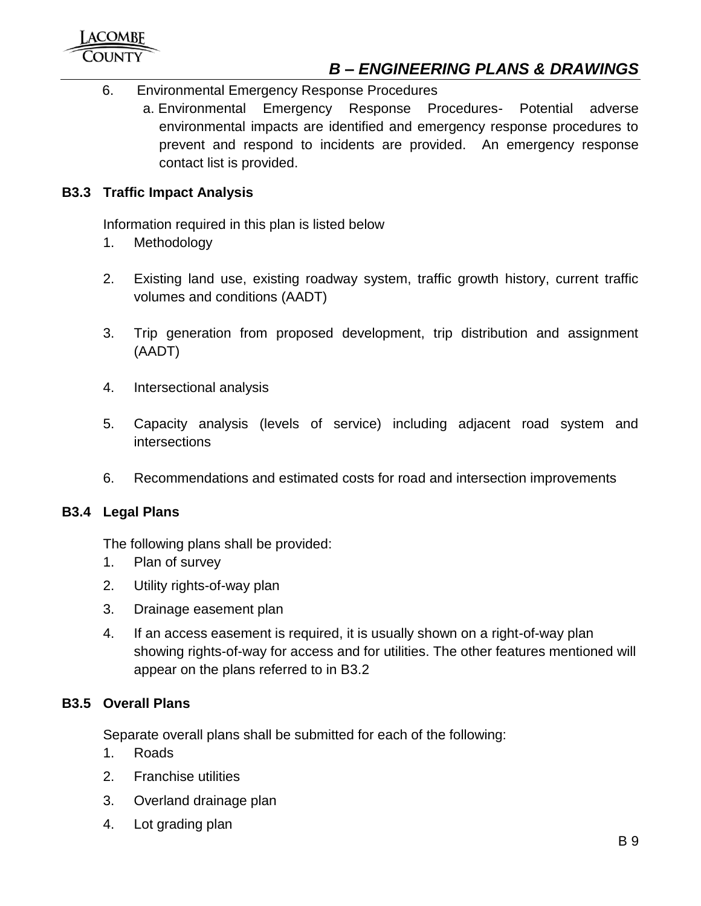- 6. Environmental Emergency Response Procedures
	- a. Environmental Emergency Response Procedures- Potential adverse environmental impacts are identified and emergency response procedures to prevent and respond to incidents are provided. An emergency response contact list is provided.

## <span id="page-8-0"></span>**B3.3 Traffic Impact Analysis**

Information required in this plan is listed below

- 1. Methodology
- 2. Existing land use, existing roadway system, traffic growth history, current traffic volumes and conditions (AADT)
- 3. Trip generation from proposed development, trip distribution and assignment (AADT)
- 4. Intersectional analysis
- 5. Capacity analysis (levels of service) including adjacent road system and intersections
- 6. Recommendations and estimated costs for road and intersection improvements

## <span id="page-8-1"></span>**B3.4 Legal Plans**

The following plans shall be provided:

- 1. Plan of survey
- 2. Utility rights-of-way plan
- 3. Drainage easement plan
- 4. If an access easement is required, it is usually shown on a right-of-way plan showing rights-of-way for access and for utilities. The other features mentioned will appear on the plans referred to in B3.2

## <span id="page-8-2"></span>**B3.5 Overall Plans**

Separate overall plans shall be submitted for each of the following:

- 1. Roads
- 2. Franchise utilities
- 3. Overland drainage plan
- 4. Lot grading plan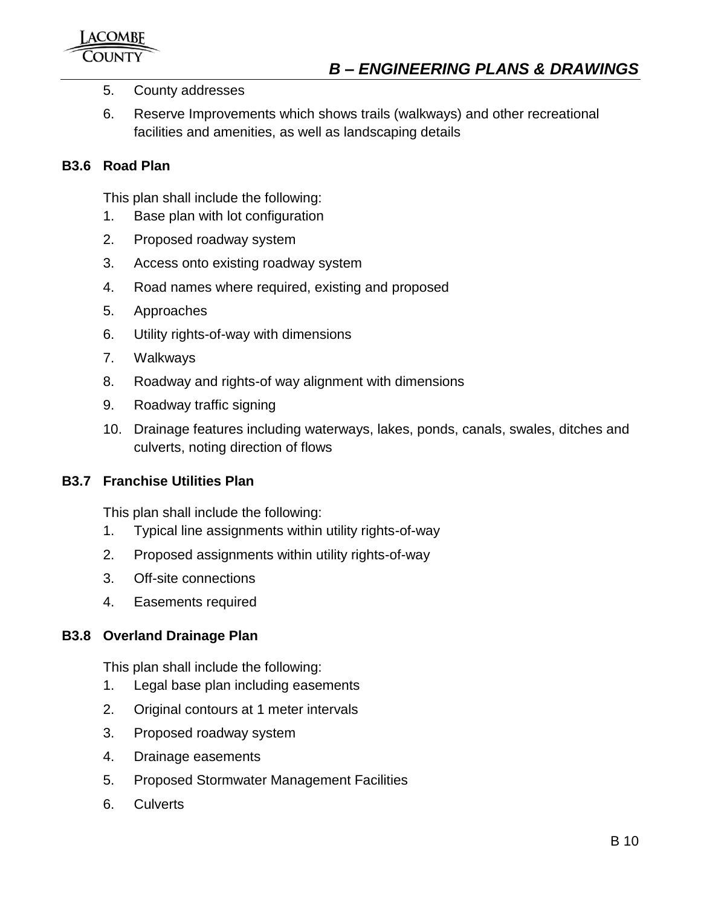- 5. County addresses
- 6. Reserve Improvements which shows trails (walkways) and other recreational facilities and amenities, as well as landscaping details

#### <span id="page-9-0"></span>**B3.6 Road Plan**

This plan shall include the following:

- 1. Base plan with lot configuration
- 2. Proposed roadway system
- 3. Access onto existing roadway system
- 4. Road names where required, existing and proposed
- 5. Approaches
- 6. Utility rights-of-way with dimensions
- 7. Walkways
- 8. Roadway and rights-of way alignment with dimensions
- 9. Roadway traffic signing
- 10. Drainage features including waterways, lakes, ponds, canals, swales, ditches and culverts, noting direction of flows

#### <span id="page-9-1"></span>**B3.7 Franchise Utilities Plan**

This plan shall include the following:

- 1. Typical line assignments within utility rights-of-way
- 2. Proposed assignments within utility rights-of-way
- 3. Off-site connections
- 4. Easements required

#### <span id="page-9-2"></span>**B3.8 Overland Drainage Plan**

This plan shall include the following:

- 1. Legal base plan including easements
- 2. Original contours at 1 meter intervals
- 3. Proposed roadway system
- 4. Drainage easements
- 5. Proposed Stormwater Management Facilities
- 6. Culverts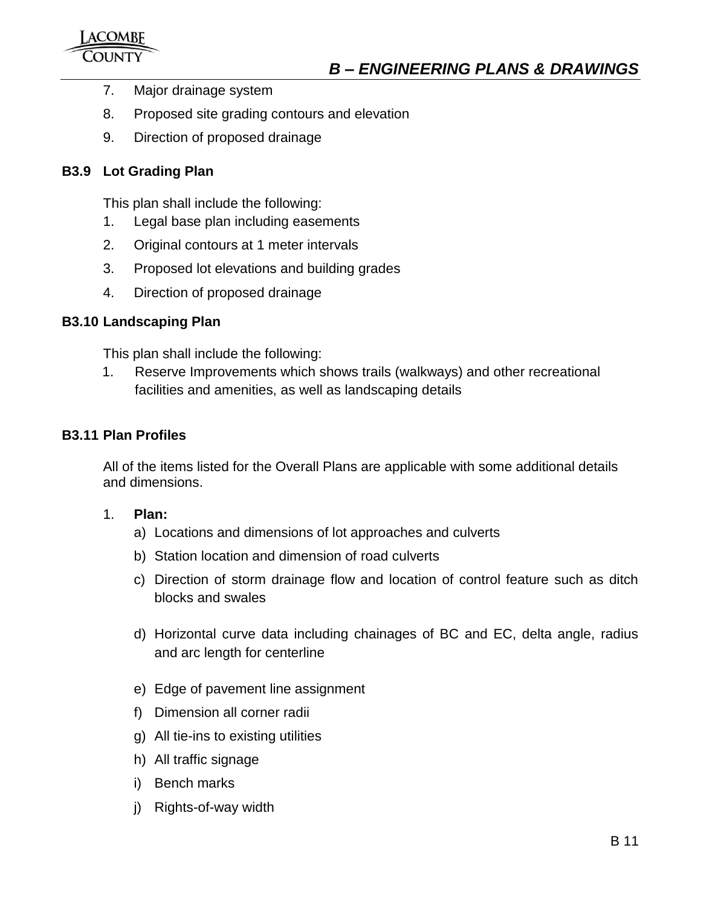- 7. Major drainage system
- 8. Proposed site grading contours and elevation
- 9. Direction of proposed drainage

## <span id="page-10-0"></span>**B3.9 Lot Grading Plan**

This plan shall include the following:

- 1. Legal base plan including easements
- 2. Original contours at 1 meter intervals
- 3. Proposed lot elevations and building grades
- 4. Direction of proposed drainage

## <span id="page-10-1"></span>**B3.10 Landscaping Plan**

This plan shall include the following:

1. Reserve Improvements which shows trails (walkways) and other recreational facilities and amenities, as well as landscaping details

## <span id="page-10-2"></span>**B3.11 Plan Profiles**

All of the items listed for the Overall Plans are applicable with some additional details and dimensions.

- 1. **Plan:**
	- a) Locations and dimensions of lot approaches and culverts
	- b) Station location and dimension of road culverts
	- c) Direction of storm drainage flow and location of control feature such as ditch blocks and swales
	- d) Horizontal curve data including chainages of BC and EC, delta angle, radius and arc length for centerline
	- e) Edge of pavement line assignment
	- f) Dimension all corner radii
	- g) All tie-ins to existing utilities
	- h) All traffic signage
	- i) Bench marks
	- j) Rights-of-way width